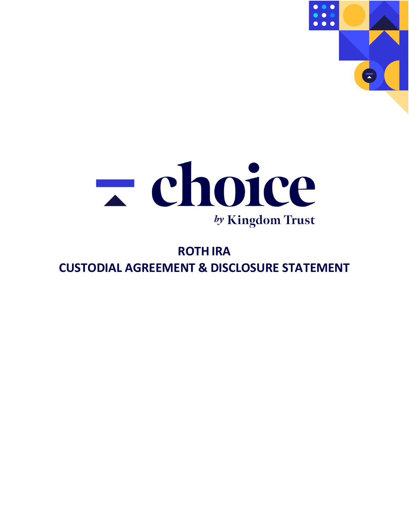



# **ROTH IRA CUSTODIAL AGREEMENT & DISCLOSURE STATEMENT**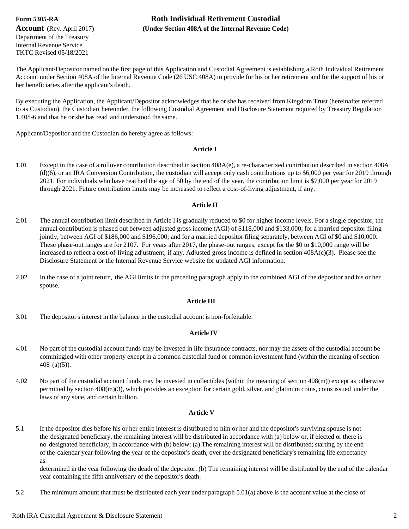Department of the Treasury Internal Revenue Service TKTC Revised 05/18/2021

## **Form 5305-RA Roth Individual Retirement Custodial Account** (Rev. April 2017) **(Under Section 408A of the Internal Revenue Code)**

The Applicant/Depositor named on the first page of this Application and Custodial Agreement is establishing a Roth Individual Retirement Account under Section 408A of the Internal Revenue Code (26 USC 408A) to provide for his or her retirement and for the support of his or her beneficiaries after the applicant's death.

By executing the Application, the Applicant/Depositor acknowledges that he orshe has received from Kingdom Trust (hereinafter referred to as Custodian), the Custodian hereunder, the following Custodial Agreement and Disclosure Statement required by Treasury Regulation 1.408-6 and that he or she has read and understood the same.

Applicant/Depositor and the Custodian do hereby agree as follows:

### **Article I**

1.01 Except in the case of a rollover contribution described in section 408A(e), a re-characterized contribution described in section 408A (d)(6), or an IRA Conversion Contribution, the custodian will accept only cash contributions up to \$6,000 per year for 2019 through 2021. For individuals who have reached the age of 50 by the end of the year, the contribution limit is \$7,000 per year for 2019 through 2021. Future contribution limits may be increased to reflect a cost-of-living adjustment, if any.

### **Article II**

- 2.01 The annual contribution limit described in Article I is gradually reduced to \$0 for higher income levels. For a single depositor, the annual contribution is phased out between adjusted gross income (AGI) of \$118,000 and \$133,000; for a married depositor filing jointly, between AGI of \$186,000 and \$196,000; and for a married depositor filing separately, between AGI of \$0 and \$10,000. These phase-out ranges are for 2107. For years after 2017, the phase-out ranges, except for the \$0 to \$10,000 range will be increased to reflect a cost-of-living adjustment, if any. Adjusted gross income is defined in section 408A(c)(3). Please see the Disclosure Statement or the Internal Revenue Service website for updated AGI information.
- 2.02 In the case of a joint return, the AGI limits in the preceding paragraph apply to the combined AGI of the depositor and his or her spouse.

### **Article III**

3.01 The depositor's interest in the balance in the custodial account is non-forfeitable.

### **Article IV**

- 4.01 No part of the custodial account funds may be invested in life insurance contracts, nor may the assets of the custodial account be commingled with other property except in a common custodial fund or common investment fund (within the meaning of section 408 (a)(5)).
- 4.02 No part of the custodial account funds may be invested in collectibles (within the meaning of section 408(m)) except as otherwise permitted by section 408(m)(3), which provides an exception for certain gold, silver, and platinum coins, coins issued under the laws of any state, and certain bullion.

#### **Article V**

5.1 If the depositor dies before his or her entire interest is distributed to him or her and the depositor's surviving spouse is not the designated beneficiary, the remaining interest will be distributed in accordance with (a) below or, if elected or there is no designated beneficiary, in accordance with (b) below: (a) The remaining interest will be distributed; starting by the end of the calendar year following the year of the depositor's death, over the designated beneficiary's remaining life expectancy as

determined in the year following the death of the depositor. (b) The remaining interest will be distributed by the end of the calendar year containing the fifth anniversary of the depositor's death.

5.2 The minimum amount that must be distributed each year under paragraph 5.01(a) above is the account value at the close of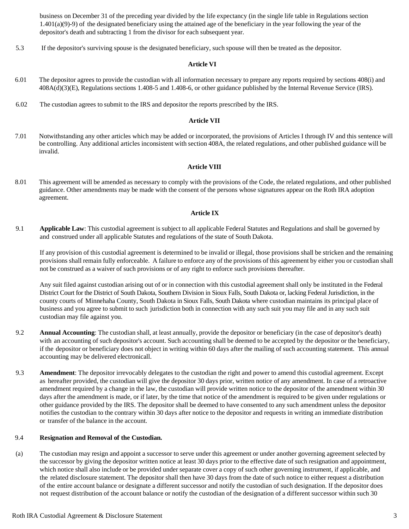business on December 31 of the preceding year divided by the life expectancy (in the single life table in Regulations section  $1.401(a)(9)-9$  of the designated beneficiary using the attained age of the beneficiary in the year following the year of the depositor's death and subtracting 1 from the divisor for each subsequent year.

5.3 If the depositor's surviving spouse is the designated beneficiary, such spouse will then be treated as the depositor.

#### **Article VI**

- 6.01 The depositor agrees to provide the custodian with all information necessary to prepare any reports required by sections 408(i) and 408A(d)(3)(E), Regulations sections 1.408-5 and 1.408-6, or other guidance published by the Internal Revenue Service (IRS).
- 6.02 The custodian agrees to submit to the IRS and depositor the reports prescribed by the IRS.

#### **Article VII**

7.01 Notwithstanding any other articles which may be added or incorporated, the provisions of Articles I through IV and this sentence will be controlling. Any additional articles inconsistent with section 408A, the related regulations, and other published guidance will be invalid.

### **Article VIII**

8.01 This agreement will be amended as necessary to comply with the provisions of the Code, the related regulations, and other published guidance. Other amendments may be made with the consent of the persons whose signatures appear on the Roth IRA adoption agreement.

#### **Article IX**

9.1 **Applicable Law**: This custodial agreement is subject to all applicable Federal Statutes and Regulations and shall be governed by and construed under all applicable Statutes and regulations of the state of South Dakota.

If any provision of this custodial agreement is determined to be invalid or illegal, those provisions shall be stricken and the remaining provisions shall remain fully enforceable. A failure to enforce any of the provisions of this agreement by either you or custodian shall not be construed as a waiver of such provisions or of any right to enforce such provisions thereafter.

Any suit filed against custodian arising out of or in connection with this custodial agreement shall only be instituted in the Federal District Court for the District of South Dakota, Southern Division in Sioux Falls, South Dakota or, lacking Federal Jurisdiction, in the county courts of Minnehaha County, South Dakota in Sioux Falls, South Dakota where custodian maintains its principal place of business and you agree to submit to such jurisdiction both in connection with any such suit you may file and in any such suit custodian may file against you.

- 9.2 **Annual Accounting**: The custodian shall, at least annually, provide the depositor or beneficiary (in the case of depositor's death) with an accounting of such depositor's account. Such accounting shall be deemed to be accepted by the depositor or the beneficiary, if the depositor or beneficiary does not object in writing within 60 days after the mailing of such accounting statement. This annual accounting may be delivered electronicall.
- 9.3 **Amendment**: The depositor irrevocably delegates to the custodian the right and power to amend this custodial agreement. Except as hereafter provided, the custodian will give the depositor 30 days prior, written notice of any amendment. In case of a retroactive amendment required by a change in the law, the custodian will provide written notice to the depositor of the amendment within 30 days after the amendment is made, or if later, by the time that notice of the amendment is required to be given under regulations or other guidance provided by the IRS. The depositor shall be deemed to have consented to any such amendment unless the depositor notifies the custodian to the contrary within 30 days after notice to the depositor and requests in writing an immediate distribution or transfer of the balance in the account.

### 9.4 **Resignation and Removal of the Custodian.**

(a) The custodian may resign and appoint a successor to serve under this agreement or under another governing agreement selected by the successor by giving the depositor written notice at least 30 days prior to the effective date of such resignation and appointment, which notice shall also include or be provided under separate cover a copy of such other governing instrument, if applicable, and the related disclosure statement. The depositor shall then have 30 days from the date of such notice to either request a distribution of the entire account balance or designate a different successor and notify the custodian of such designation. If the depositor does not request distribution of the account balance or notify the custodian of the designation of a different successor within such 30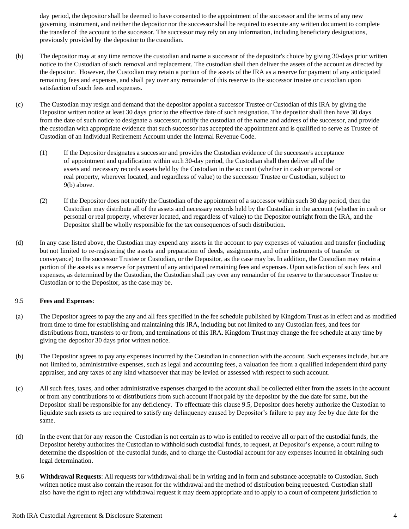day period, the depositor shall be deemed to have consented to the appointment of the successor and the terms of any new governing instrument, and neither the depositor nor the successor shall be required to execute any written document to complete the transfer of the account to the successor. The successor may rely on any information, including beneficiary designations, previously provided by the depositor to the custodian.

- (b) The depositor may at any time remove the custodian and name a successor of the depositor's choice by giving 30-days prior written notice to the Custodian of such removal and replacement. The custodian shall then deliver the assets of the account as directed by the depositor. However, the Custodian may retain a portion of the assets of the IRA as a reserve for payment of any anticipated remaining fees and expenses, and shall pay over any remainder of this reserve to the successor trustee or custodian upon satisfaction of such fees and expenses.
- (c) The Custodian may resign and demand that the depositor appoint a successor Trustee or Custodian of this IRA by giving the Depositor written notice at least 30 days prior to the effective date of such resignation. The depositor shall then have 30 days from the date of such notice to designate a successor, notify the custodian of the name and address of the successor, and provide the custodian with appropriate evidence that such successor has accepted the appointment and is qualified to serve as Trustee of Custodian of an Individual Retirement Account under the Internal Revenue Code.
	- (1) If the Depositor designates a successor and provides the Custodian evidence of the successor's acceptance of appointment and qualification within such 30-day period, the Custodian shall then deliver all of the assets and necessary records assets held by the Custodian in the account (whether in cash or personal or real property, wherever located, and regardless of value) to the successor Trustee or Custodian, subject to 9(b) above.
	- (2) If the Depositor does not notify the Custodian of the appointment of a successor within such 30 day period, then the Custodian may distribute all of the assets and necessary records held by the Custodian in the account (whether in cash or personal or real property, wherever located, and regardless of value) to the Depositor outright from the IRA, and the Depositor shall be wholly responsible for the tax consequences of such distribution.
- (d) In any case listed above, the Custodian may expend any assets in the account to pay expenses of valuation and transfer (including but not limited to re-registering the assets and preparation of deeds, assignments, and other instruments of transfer or conveyance) to the successor Trustee or Custodian, or the Depositor, as the case may be. In addition, the Custodian may retain a portion of the assets as a reserve for payment of any anticipated remaining fees and expenses. Upon satisfaction of such fees and expenses, as determined by the Custodian, the Custodian shall pay over any remainder of the reserve to the successor Trustee or Custodian or to the Depositor, as the case may be.

### 9.5 **Fees and Expenses**:

- (a) The Depositor agrees to pay the any and all fees specified in the fee schedule published by Kingdom Trust as in effect and as modified from time to time for establishing and maintaining this IRA, including but not limited to any Custodian fees, and fees for distributions from, transfers to or from, and terminations of this IRA. Kingdom Trust may change the fee schedule at any time by giving the depositor 30 days prior written notice.
- (b) The Depositor agrees to pay any expenses incurred by the Custodian in connection with the account. Such expenses include, but are not limited to, administrative expenses, such as legal and accounting fees, a valuation fee from a qualified independent third party appraiser, and any taxes of any kind whatsoever that may be levied or assessed with respect to such account.
- (c) All such fees, taxes, and other administrative expenses charged to the account shall be collected either from the assets in the account or from any contributions to or distributions from such account if not paid by the depositor by the due date for same, but the Depositor shall be responsible for any deficiency. To effectuate this clause 9.5, Depositor does hereby authorize the Custodian to liquidate such assets as are required to satisfy any delinquency caused by Depositor's failure to pay any fee by due date for the same.
- (d) In the event that for any reason the Custodian is not certain as to who is entitled to receive all or part of the custodial funds, the Depositor hereby authorizes the Custodian to withhold such custodial funds, to request, at Depositor's expense, a court ruling to determine the disposition of the custodial funds, and to charge the Custodial account for any expenses incurred in obtaining such legal determination.
- 9.6 **Withdrawal Requests**: All requests for withdrawal shall be in writing and in form and substance acceptable to Custodian. Such written notice must also contain the reason for the withdrawal and the method of distribution being requested. Custodian shall also have the right to reject any withdrawal request it may deem appropriate and to apply to a court of competent jurisdiction to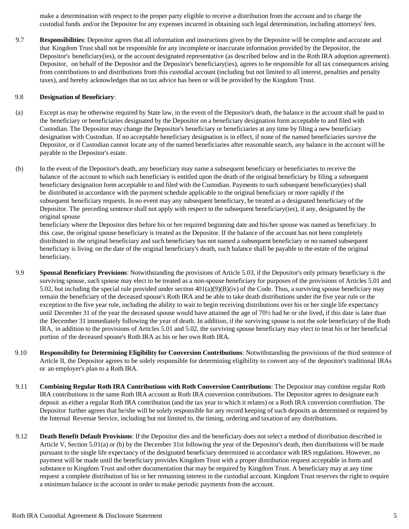make a determination with respect to the proper party eligible to receive a distribution from the account and to charge the custodial funds and/or the Depositor for any expenses incurred in obtaining such legal determination, including attorneys' fees.

9.7 **Responsibilities**: Depositor agrees that all information and instructions given by the Depositor will be complete and accurate and that Kingdom Trust shall not be responsible for any incomplete or inaccurate information provided by the Depositor, the Depositor's beneficiary(ies), or the account designated representative (as described below and in the Roth IRA adoption agreement). Depositor, on behalf of the Depositor and the Depositor's beneficiary(ies), agrees to be responsible for all tax consequences arising from contributions to and distributions from this custodial account (including but not limited to all interest, penalties and penalty taxes), and hereby acknowledges that no tax advice has been or will be provided by the Kingdom Trust.

### 9.8 **Designation of Beneficiary**:

- (a) Except as may be otherwise required by State law, in the event of the Depositor's death, the balance in the account shall be paid to the beneficiary or beneficiaries designated by the Depositor on a beneficiary designation form acceptable to and filed with Custodian. The Depositor may change the Depositor's beneficiary or beneficiaries at any time by filing a new beneficiary designation with Custodian. If no acceptable beneficiary designation is in effect, if none of the named beneficiaries survive the Depositor, or if Custodian cannot locate any of the named beneficiaries after reasonable search, any balance in the account will be payable to the Depositor's estate.
- (b) In the event of the Depositor's death, any beneficiary may name a subsequent beneficiary or beneficiaries to receive the balance of the account to which such beneficiary is entitled upon the death of the original beneficiary by filing a subsequent beneficiary designation form acceptable to and filed with the Custodian. Payments to such subsequent beneficiary(ies) shall be distributed in accordance with the payment schedule applicable to the original beneficiary or more rapidly if the subsequent beneficiary requests. In no event may any subsequent beneficiary, be treated as a designated beneficiary of the Depositor. The preceding sentence shall not apply with respect to the subsequent beneficiary(ies), if any, designated by the original spouse

beneficiary where the Depositor dies before his or her required beginning date and his/her spouse was named as beneficiary. In this case, the original spouse beneficiary is treated as the Depositor. If the balance of the account has not been completely distributed to the original beneficiary and such beneficiary has not named a subsequent beneficiary or no named subsequent beneficiary is living on the date of the original beneficiary's death, such balance shall be payable to the estate of the original beneficiary.

- 9.9 **Spousal Beneficiary Provisions**: Notwithstanding the provisions of Article 5.03, if the Depositor's only primary beneficiary is the surviving spouse, such spouse may elect to be treated as a non-spouse beneficiary for purposes of the provisions of Articles 5.01 and 5.02, but including the special rule provided under section  $401(a)(9)(B)(iv)$  of the Code. Thus, a surviving spouse beneficiary may remain the beneficiary of the deceased spouse's Roth IRA and be able to take death distributions under the five year rule or the exception to the five year rule, including the ability to wait to begin receiving distributions over his or her single life expectancy until December 31 of the year the deceased spouse would have attained the age of 70½ had he or she lived, if this date is later than the December 31 immediately following the year of death. In addition, if the surviving spouse is not the sole beneficiary of the Roth IRA, in addition to the provisions of Articles 5.01 and 5.02, the surviving spouse beneficiary may elect to treat his or her beneficial portion of the deceased spouse's Roth IRA as his or her own Roth IRA.
- 9.10 **Responsibility for Determining Eligibility for Conversion Contributions**: Notwithstanding the provisions of the third sentence of Article II, the Depositor agrees to be solely responsible for determining eligibility to convert any of the depositor's traditional IRAs or an employer's plan to a Roth IRA.
- 9.11 **Combining Regular Roth IRA Contributions with Roth Conversion Contributions**: The Depositor may combine regular Roth IRA contributions in the same Roth IRA account as Roth IRA conversion contributions. The Depositor agrees to designate each deposit as either a regular Roth IRA contribution (and the tax year to which it relates) or a Roth IRA conversion contribution. The Depositor further agrees that he/she will be solely responsible for any record keeping of such deposits as determined or required by the Internal Revenue Service, including but not limited to, the timing, ordering and taxation of any distributions.
- 9.12 **Death Benefit Default Provisions**: If the Depositor dies and the beneficiary does not select a method of distribution described in Article V, Section 5.01(a) or (b) by the December 31st following the year of the Depositor's death, then distributions will be made pursuant to the single life expectancy of the designated beneficiary determined in accordance with IRS regulations. However, no payment will be made until the beneficiary provides Kingdom Trust with a proper distribution request acceptable in form and substance to Kingdom Trust and other documentation that may be required by Kingdom Trust. A beneficiary may at any time request a complete distribution of his or her remaining interest in the custodial account. Kingdom Trust reserves the right to require a minimum balance in the account in order to make periodic payments from the account.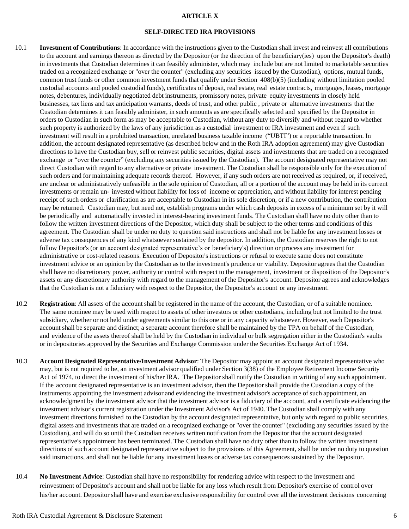### **ARTICLE X**

#### **SELF-DIRECTED IRA PROVISIONS**

- 10.1 **Investment of Contributions**: In accordance with the instructions given to the Custodian shall invest and reinvest all contributions to the account and earnings thereon as directed by the Depositor (or the direction of the beneficiary(ies) upon the Depositor's death) in investments that Custodian determines it can feasibly administer, which may include but are not limited to marketable securities traded on a recognized exchange or "over the counter" (excluding any securities issued by the Custodian), options, mutual funds, common trust funds or other common investment funds that qualify under Section 408(b)(5) (including without limitation pooled custodial accounts and pooled custodial funds), certificates of deposit, real estate, real estate contracts, mortgages, leases, mortgage notes, debentures, individually negotiated debt instruments, promissory notes, private equity investments in closely held businesses, tax liens and tax anticipation warrants, deeds of trust, and other public , private or alternative investments that the Custodian determines it can feasibly administer, in such amounts as are specifically selected and specified by the Depositor in orders to Custodian in such form as may be acceptable to Custodian, without any duty to diversify and without regard to whether such property is authorized by the laws of any jurisdiction as a custodial investment or IRA investment and even if such investment will result in a prohibited transaction, unrelated business taxable income ("UBTI") or a reportable transaction. In addition, the account designated representative (as described below and in the Roth IRA adoption agreement) may give Custodian directions to have the Custodian buy, sell or reinvest public securities, digital assets and investments that are traded on a recognized exchange or "over the counter" (excluding any securities issued by the Custodian). The account designated representative may not direct Custodian with regard to any alternative or private investment. The Custodian shall be responsible only for the execution of such orders and for maintaining adequate records thereof. However, if any such orders are not received as required, or, if received, are unclear or administratively unfeasible in the sole opinion of Custodian, all or a portion of the account may be held in its current investments or remain un- invested without liability for loss of income or appreciation, and without liability for interest pending receipt of such orders or clarification as are acceptable to Custodian in its sole discretion, or if a new contribution, the contribution may be returned. Custodian may, but need not, establish programs under which cash deposits in excess of a minimum set by it will be periodically and automatically invested in interest-bearing investment funds. The Custodian shall have no duty other than to follow the written investment directions of the Depositor, which duty shall be subject to the other terms and conditions of this agreement. The Custodian shall be under no duty to question said instructions and shall not be liable for any investment losses or adverse tax consequences of any kind whatsoever sustained by the depositor. In addition, the Custodian reserves the right to not follow Depositor's (or an account designated representative's or beneficiary's) direction or process any investment for administrative or cost-related reasons. Execution of Depositor's instructions or refusal to execute same does not constitute investment advice or an opinion by the Custodian as to the investment's prudence or viability. Depositor agrees that the Custodian shall have no discretionary power, authority or control with respect to the management, investment or disposition of the Depositor's assets or any discretionary authority with regard to the management of the Depositor's account. Depositor agrees and acknowledges that the Custodian is not a fiduciary with respect to the Depositor, the Depositor's account or any investment.
- 10.2 **Registration**: All assets of the account shall be registered in the name of the account, the Custodian, or of a suitable nominee. The same nominee may be used with respect to assets of other investors or other custodians, including but not limited to the trust subsidiary, whether or not held under agreements similar to this one or in any capacity whatsoever. However, each Depositor's account shall be separate and distinct; a separate account therefore shall be maintained by the TPA on behalf of the Custodian, and evidence of the assets thereof shall be held by the Custodian in individual or bulk segregation either in the Custodian's vaults or in depositories approved by the Securities and Exchange Commission under the Securities Exchange Act of 1934.
- 10.3 **Account Designated Representative/Investment Advisor**: The Depositor may appoint an account designated representative who may, but is not required to be, an investment advisor qualified under Section 3(38) of the Employee Retirement Income Security Act of 1974, to direct the investment of his/her IRA. The Depositor shall notify the Custodian in writing of any such appointment. If the account designated representative is an investment advisor, then the Depositor shall provide the Custodian a copy of the instruments appointing the investment advisor and evidencing the investment advisor's acceptance of such appointment, an acknowledgment by the investment advisor that the investment advisor is a fiduciary of the account, and a certificate evidencing the investment advisor's current registration under the Investment Advisor's Act of 1940. The Custodian shall comply with any investment directions furnished to the Custodian by the account designated representative, but only with regard to public securities, digital assets and investments that are traded on a recognized exchange or "over the counter" (excluding any securities issued by the Custodian), and will do so until the Custodian receives written notification from the Depositor that the account designated representative's appointment has been terminated. The Custodian shall have no duty other than to follow the written investment directions of such account designated representative subject to the provisions of this Agreement, shall be under no duty to question said instructions, and shall not be liable for any investment losses or adverse tax consequences sustained by the Depositor.
- 10.4 **No Investment Advice**: Custodian shall have no responsibility for rendering advice with respect to the investment and reinvestment of Depositor's account and shall not be liable for any loss which result from Depositor's exercise of control over his/her account. Depositor shall have and exercise exclusive responsibility for control over all the investment decisions concerning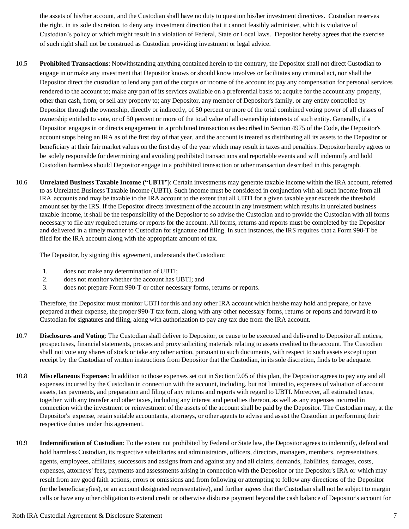the assets of his/her account, and the Custodian shall have no duty to question his/her investment directives. Custodian reserves the right, in its sole discretion, to deny any investment direction that it cannot feasibly administer, which is violative of Custodian's policy or which might result in a violation of Federal, State or Local laws. Depositor hereby agrees that the exercise of such right shall not be construed as Custodian providing investment or legal advice.

- 10.5 **Prohibited Transactions**: Notwithstanding anything contained herein to the contrary, the Depositor shall not direct Custodian to engage in or make any investment that Depositor knows or should know involves or facilitates any criminal act, nor shall the Depositor direct the custodian to lend any part of the corpus or income of the account to; pay any compensation for personal services rendered to the account to; make any part of its services available on a preferential basis to; acquire for the account any property, other than cash, from; or sell any property to; any Depositor, any member of Depositor's family, or any entity controlled by Depositor through the ownership, directly or indirectly, of 50 percent or more of the total combined voting power of all classes of ownership entitled to vote, or of 50 percent or more of the total value of all ownership interests of such entity. Generally, if a Depositor engages in or directs engagement in a prohibited transaction as described in Section 4975 of the Code, the Depositor's account stops being an IRA as of the first day of that year, and the account is treated as distributing all its assets to the Depositor or beneficiary at their fair market values on the first day of the year which may result in taxes and penalties. Depositor hereby agrees to be solely responsible for determining and avoiding prohibited transactions and reportable events and will indemnify and hold Custodian harmless should Depositor engage in a prohibited transaction or other transaction described in this paragraph.
- 10.6 **Unrelated Business Taxable Income ("UBTI")**: Certain investments may generate taxable income within the IRA account, referred to as Unrelated Business Taxable Income (UBTI). Such income must be considered in conjunction with all such income from all IRA accounts and may be taxable to the IRA account to the extent that all UBTI for a given taxable year exceeds the threshold amount set by the IRS. If the Depositor directs investment of the account in any investment which results in unrelated business taxable income, it shall be the responsibility of the Depositor to so advise the Custodian and to provide the Custodian with all forms necessary to file any required returns or reports for the account. All forms, returns and reports must be completed by the Depositor and delivered in a timely manner to Custodian for signature and filing. In such instances, the IRS requires that a Form 990-T be filed for the IRA account along with the appropriate amount of tax.

The Depositor, by signing this agreement, understands the Custodian:

- 1. does not make any determination of UBTI;
- 2. does not monitor whether the account has UBTI; and
- 3. does not prepare Form 990-T or other necessary forms, returns or reports.

Therefore, the Depositor must monitor UBTI for this and any other IRA account which he/she may hold and prepare, or have prepared at their expense, the proper 990-T tax form, along with any other necessary forms, returns or reports and forward it to Custodian for signatures and filing, along with authorization to pay any tax due from the IRA account.

- 10.7 **Disclosures and Voting**: The Custodian shall deliver to Depositor, or cause to be executed and delivered to Depositor all notices, prospectuses, financial statements, proxies and proxy soliciting materials relating to assets credited to the account. The Custodian shall not vote any shares of stock or take any other action, pursuant to such documents, with respect to such assets except upon receipt by the Custodian of written instructions from Depositor that the Custodian, in its sole discretion, finds to be adequate.
- 10.8 **Miscellaneous Expenses**: In addition to those expenses set out in Section 9.05 of this plan, the Depositor agrees to pay any and all expenses incurred by the Custodian in connection with the account, including, but not limited to, expenses of valuation of account assets, tax payments, and preparation and filing of any returns and reports with regard to UBTI. Moreover, all estimated taxes, together with any transfer and other taxes, including any interest and penalties thereon, as well as any expenses incurred in connection with the investment or reinvestment of the assets of the account shall be paid by the Depositor. The Custodian may, at the Depositor's expense, retain suitable accountants, attorneys, or other agents to advise and assist the Custodian in performing their respective duties under this agreement.
- 10.9 **Indemnification of Custodian**: To the extent not prohibited by Federal or State law, the Depositor agrees to indemnify, defend and hold harmless Custodian, its respective subsidiaries and administrators, officers, directors, managers, members, representatives, agents, employees, affiliates, successors and assigns from and against any and all claims, demands, liabilities, damages, costs, expenses, attorneys' fees, payments and assessments arising in connection with the Depositor or the Depositor's IRA or which may result from any good faith actions, errors or omissions and from following or attempting to follow any directions of the Depositor (or the beneficiary(ies), or an account designated representative), and further agrees that the Custodian shall not be subject to margin calls or have any other obligation to extend credit or otherwise disburse payment beyond the cash balance of Depositor's account for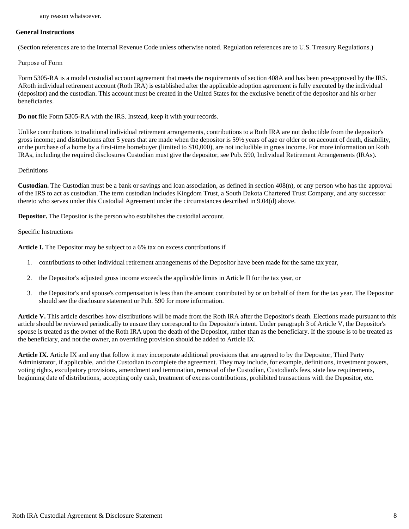### **General Instructions**

(Section references are to the Internal Revenue Code unless otherwise noted. Regulation references are to U.S. Treasury Regulations.)

### Purpose of Form

Form 5305-RA is a model custodial account agreement that meets the requirements of section 408A and has been pre-approved by the IRS. ARoth individual retirement account (Roth IRA) is established after the applicable adoption agreement is fully executed by the individual (depositor) and the custodian. This account must be created in the United States for the exclusive benefit of the depositor and his or her beneficiaries.

**Do not** file Form 5305-RA with the IRS. Instead, keep it with your records.

Unlike contributions to traditional individual retirement arrangements, contributions to a Roth IRA are not deductible from the depositor's gross income; and distributions after 5 years that are made when the depositor is 59½ years of age or older or on account of death, disability, or the purchase of a home by a first-time homebuyer (limited to \$10,000), are not includible in gross income. For more information on Roth IRAs, including the required disclosures Custodian must give the depositor, see Pub. 590, Individual Retirement Arrangements (IRAs).

### Definitions

**Custodian.** The Custodian must be a bank or savings and loan association, as defined in section 408(n), or any person who has the approval of the IRS to act as custodian. The term custodian includes Kingdom Trust, a South Dakota Chartered Trust Company, and any successor thereto who serves under this Custodial Agreement under the circumstances described in 9.04(d) above.

**Depositor.** The Depositor is the person who establishes the custodial account.

### Specific Instructions

**Article I.** The Depositor may be subject to a 6% tax on excess contributions if

- 1. contributions to other individual retirement arrangements of the Depositor have been made for the same tax year,
- 2. the Depositor's adjusted gross income exceeds the applicable limits in Article II for the tax year, or
- 3. the Depositor's and spouse's compensation is less than the amount contributed by or on behalf of them for the tax year. The Depositor should see the disclosure statement or Pub. 590 for more information.

**Article V.** This article describes how distributions will be made from the Roth IRA after the Depositor's death. Elections made pursuant to this article should be reviewed periodically to ensure they correspond to the Depositor's intent. Under paragraph 3 of Article V, the Depositor's spouse is treated as the owner of the Roth IRA upon the death of the Depositor, rather than as the beneficiary. If the spouse is to be treated as the beneficiary, and not the owner, an overriding provision should be added to Article IX.

**Article IX.** Article IX and any that follow it may incorporate additional provisions that are agreed to by the Depositor, Third Party Administrator, if applicable, and the Custodian to complete the agreement. They may include, for example, definitions, investment powers, voting rights, exculpatory provisions, amendment and termination, removal of the Custodian, Custodian's fees, state law requirements, beginning date of distributions, accepting only cash, treatment of excess contributions, prohibited transactions with the Depositor, etc.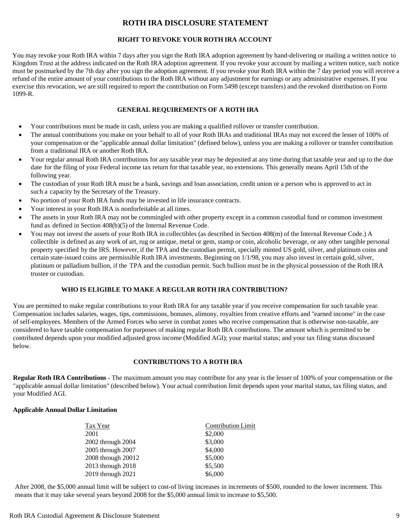### **ROTH IRA DISCLOSURE STATEMENT**

### **RIGHT TO REVOKE YOUR ROTH IRA ACCOUNT**

You may revoke your Roth IRA within 7 days after you sign the Roth IRA adoption agreement by hand-delivering or mailing a written notice to Kingdom Trust at the address indicated on the Roth IRA adoption agreement. If you revoke your account by mailing a written notice, such notice must be postmarked by the 7th day after you sign the adoption agreement. If you revoke your Roth IRA within the 7 day period you will receive a refund of the entire amount of your contributions to the Roth IRA without any adjustment for earnings or any administrative expenses. If you exercise this revocation, we are still required to report the contribution on Form 5498 (except transfers) and the revoked distribution on Form 1099-R.

### **GENERAL REQUIREMENTS OF A ROTH IRA**

- Your contributions must be made in cash, unless you are making a qualified rollover or transfer contribution.
- The annual contributions you make on your behalf to all of your Roth IRAs and traditional IRAs may not exceed the lesser of 100% of your compensation or the "applicable annual dollar limitation" (defined below), unless you are making a rollover or transfer contribution from a traditional IRA or another Roth IRA.
- Your regular annual Roth IRA contributions for any taxable year may be deposited at any time during that taxable year and up to the due date for the filing of your Federal income tax return for that taxable year, no extensions. This generally means April 15th of the following year.
- The custodian of your Roth IRA must be a bank, savings and loan association, credit union or a person who is approved to act in such a capacity by the Secretary of the Treasury.
- No portion of your Roth IRA funds may be invested in life insurance contracts.
- Your interest in your Roth IRA is nonforfeitable at all times.
- The assets in your Roth IRA may not be commingled with other property except in a common custodial fund or common investment fund as defined in Section 408(b)(5) of the Internal Revenue Code.
- You may not invest the assets of your Roth IRA in collectibles (as described in Section 408(m) of the Internal Revenue Code.) A collectible is defined as any work of art, rug or antique, metal or gem, stamp or coin, alcoholic beverage, or any other tangible personal property specified by the IRS. However, if the TPA and the custodian permit, specially minted US gold, silver, and platinum coins and certain state-issued coins are permissible Roth IRA investments. Beginning on 1/1/98, you may also invest in certain gold, silver, platinum or palladium bullion, if the TPA and the custodian permit. Such bullion must be in the physical possession of the Roth IRA trustee or custodian.

### **WHO IS ELIGIBLE TO MAKE A REGULAR ROTH IRA CONTRIBUTION?**

You are permitted to make regular contributions to your Roth IRA for any taxable year if you receive compensation for such taxable year. Compensation includes salaries, wages, tips, commissions, bonuses, alimony, royalties from creative efforts and "earned income" in the case of self-employees. Members of the Armed Forces who serve in combat zones who receive compensation that is otherwise non-taxable, are considered to have taxable compensation for purposes of making regular Roth IRA contributions. The amount which is permitted to be contributed depends upon your modified adjusted gross income (Modified AGI); your marital status; and your tax filing status discussed below.

### **CONTRIBUTIONS TO A ROTH IRA**

**Regular Roth IRA Contributions -** The maximum amount you may contribute for any year is the lesser of 100% of your compensation or the "applicable annual dollar limitation" (described below). Your actual contribution limit depends upon your marital status, tax filing status, and your Modified AGI.

### **Applicable Annual Dollar Limitation**

| Tax Year           | <b>Contribution Limit</b> |
|--------------------|---------------------------|
| 2001               | \$2,000                   |
| 2002 through 2004  | \$3,000                   |
| 2005 through 2007  | \$4,000                   |
| 2008 through 20012 | \$5,000                   |
| 2013 through 2018  | \$5,500                   |
| 2019 through 2021  | \$6,000                   |

After 2008, the \$5,000 annual limit will be subject to cost-of living increases in increments of \$500, rounded to the lower increment. This means that it may take several years beyond 2008 for the \$5,000 annual limit to increase to \$5,500.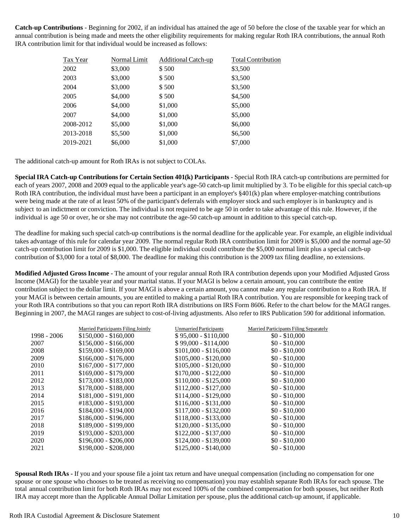**Catch-up Contributions** - Beginning for 2002, if an individual has attained the age of 50 before the close of the taxable year for which an annual contribution is being made and meets the other eligibility requirements for making regular Roth IRA contributions, the annual Roth IRA contribution limit for that individual would be increased as follows:

| Tax Year  | Normal Limit | Additional Catch-up | <b>Total Contribution</b> |
|-----------|--------------|---------------------|---------------------------|
| 2002      | \$3,000      | \$500               | \$3,500                   |
| 2003      | \$3,000      | \$500               | \$3,500                   |
| 2004      | \$3,000      | \$500               | \$3,500                   |
| 2005      | \$4,000      | \$500               | \$4,500                   |
| 2006      | \$4,000      | \$1,000             | \$5,000                   |
| 2007      | \$4,000      | \$1,000             | \$5,000                   |
| 2008-2012 | \$5,000      | \$1,000             | \$6,000                   |
| 2013-2018 | \$5,500      | \$1,000             | \$6,500                   |
| 2019-2021 | \$6,000      | \$1,000             | \$7,000                   |

The additional catch-up amount for Roth IRAs is not subject to COLAs.

**Special IRA Catch-up Contributions for Certain Section 401(k) Participants** - Special Roth IRA catch-up contributions are permitted for each of years 2007, 2008 and 2009 equal to the applicable year's age-50 catch-up limit multiplied by 3. To be eligible for this special catch-up Roth IRA contribution, the individual must have been a participant in an employer's §401(k) plan where employer-matching contributions were being made at the rate of at least 50% of the participant's deferrals with employer stock and such employer is in bankruptcy and is subject to an indictment or conviction. The individual is not required to be age 50 in order to take advantage of this rule. However, if the individual is age 50 or over, he or she may not contribute the age-50 catch-up amount in addition to this special catch-up.

The deadline for making such special catch-up contributions is the normal deadline for the applicable year. For example, an eligible individual takes advantage of this rule for calendar year 2009. The normal regular Roth IRA contribution limit for 2009 is \$5,000 and the normal age-50 catch-up contribution limit for 2009 is \$1,000. The eligible individual could contribute the \$5,000 normal limit plus a special catch-up contribution of \$3,000 for a total of \$8,000. The deadline for making this contribution is the 2009 tax filing deadline, no extensions.

**Modified Adjusted Gross Income -** The amount of your regular annual Roth IRA contribution depends upon your Modified Adjusted Gross Income (MAGI) for the taxable year and your marital status. If your MAGI is below a certain amount, you can contribute the entire contribution subject to the dollar limit. If your MAGI is above a certain amount, you cannot make any regular contribution to a Roth IRA. If your MAGI is between certain amounts, you are entitled to making a partial Roth IRA contribution. You are responsible for keeping track of your Roth IRA contributions so that you can report Roth IRA distributions on IRS Form 8606. Refer to the chart below for the MAGI ranges. Beginning in 2007, the MAGI ranges are subject to cost-of-living adjustments. Also refer to IRS Publication 590 for additional information.

| Married Participants Filing Jointly | <b>Unmarried Participants</b> | Married Participants Filing Separately |
|-------------------------------------|-------------------------------|----------------------------------------|
| $$150,000 - $160,000$               | $$95,000 - $110,000$          | $$0 - $10,000$                         |
| $$156,000 - $166,000$               | $$99,000 - $114,000$          | $$0 - $10,000$                         |
| $$159,000 - $169,000$               | $$101,000 - $116,000$         | $$0 - $10,000$                         |
| $$166,000 - $176,000$               | $$105,000 - $120,000$         | $$0 - $10,000$                         |
| $$167,000 - $177,000$               | $$105,000 - $120,000$         | $$0 - $10,000$                         |
| $$169,000 - $179,000$               | $$170,000 - $122,000$         | $$0 - $10,000$                         |
| $$173,000 - $183,000$               | $$110,000 - $125,000$         | $$0 - $10,000$                         |
| $$178,000 - $188,000$               | $$112,000 - $127,000$         | $$0 - $10,000$                         |
| $$181,000 - $191,000$               | $$114,000 - $129,000$         | $$0 - $10,000$                         |
| #183,000 - \$193,000                | $$116,000 - $131,000$         | $$0 - $10,000$                         |
| $$184,000 - $194,000$               | $$117,000 - $132,000$         | $$0 - $10,000$                         |
| $$186,000 - $196,000$               | $$118,000 - $133,000$         | $$0 - $10,000$                         |
| $$189,000 - $199,000$               | $$120,000 - $135,000$         | $$0 - $10,000$                         |
| $$193,000 - $203,000$               | $$122,000 - $137,000$         | $$0 - $10,000$                         |
| $$196,000 - $206,000$               | $$124,000 - $139,000$         | $$0 - $10,000$                         |
| \$198,000 - \$208,000               | $$125,000 - $140,000$         | $$0 - $10,000$                         |
|                                     |                               |                                        |

**Spousal Roth IRAs -** If you and your spouse file a joint tax return and have unequal compensation (including no compensation for one spouse or one spouse who chooses to be treated as receiving no compensation) you may establish separate Roth IRAs for each spouse. The total annual contribution limit for both Roth IRAs may not exceed 100% of the combined compensation for both spouses, but neither Roth IRA may accept more than the Applicable Annual Dollar Limitation per spouse, plus the additional catch-up amount, if applicable.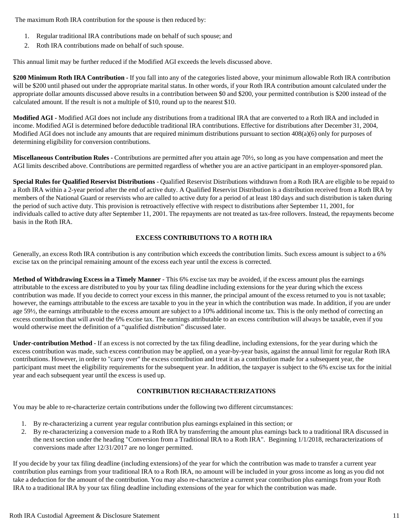The maximum Roth IRA contribution for the spouse is then reduced by:

- 1. Regular traditional IRA contributions made on behalf of such spouse; and
- 2. Roth IRA contributions made on behalf of such spouse.

This annual limit may be further reduced if the Modified AGI exceeds the levels discussed above.

**\$200 Minimum Roth IRA Contribution -** If you fall into any of the categories listed above, your minimum allowable Roth IRA contribution will be \$200 until phased out under the appropriate marital status. In other words, if your Roth IRA contribution amount calculated under the appropriate dollar amounts discussed above results in a contribution between \$0 and \$200, your permitted contribution is \$200 instead of the calculated amount. If the result is not a multiple of \$10, round up to the nearest \$10.

**Modified AGI -** Modified AGI does not include any distributions from a traditional IRA that are converted to a Roth IRA and included in income. Modified AGI is determined before deductible traditional IRA contributions. Effective for distributions after December 31, 2004, Modified AGI does not include any amounts that are required minimum distributions pursuant to section 408(a)(6) only for purposes of determining eligibility for conversion contributions.

**Miscellaneous Contribution Rules -** Contributions are permitted after you attain age 70½, so long as you have compensation and meet the AGI limits described above. Contributions are permitted regardless of whether you are an active participant in an employer-sponsored plan.

**Special Rules for Qualified Reservist Distributions** - Qualified Reservist Distributions withdrawn from a Roth IRA are eligible to be repaid to a Roth IRA within a 2-year period after the end of active duty. A Qualified Reservist Distribution is a distribution received from a Roth IRA by members of the National Guard or reservists who are called to active duty for a period of at least 180 days and such distribution is taken during the period of such active duty. This provision is retroactively effective with respect to distributions after September 11, 2001, for individuals called to active duty after September 11, 2001. The repayments are not treated as tax-free rollovers. Instead, the repayments become basis in the Roth IRA.

### **EXCESS CONTRIBUTIONS TO A ROTH IRA**

Generally, an excess Roth IRA contribution is any contribution which exceeds the contribution limits. Such excess amount is subject to a 6% excise tax on the principal remaining amount of the excess each year until the excess is corrected.

**Method of Withdrawing Excess in a Timely Manner** - This 6% excise tax may be avoided, if the excess amount plus the earnings attributable to the excess are distributed to you by your tax filing deadline including extensions for the year during which the excess contribution was made. If you decide to correct your excess in this manner, the principal amount of the excess returned to you is not taxable; however, the earnings attributable to the excess are taxable to you in the year in which the contribution was made. In addition, if you are under age 59½, the earnings attributable to the excess amount are subject to a 10% additional income tax. This is the only method of correcting an excess contribution that will avoid the 6% excise tax. The earnings attributable to an excess contribution will always be taxable, even if you would otherwise meet the definition of a "qualified distribution" discussed later.

**Under-contribution Method** - If an excess is not corrected by the tax filing deadline, including extensions, for the year during which the excess contribution was made, such excess contribution may be applied, on a year-by-year basis, against the annual limit for regular Roth IRA contributions. However, in order to "carry over" the excess contribution and treat it as a contribution made for a subsequent year, the participant must meet the eligibility requirements for the subsequent year. In addition, the taxpayer is subject to the 6% excise tax for the initial year and each subsequent year until the excess is used up.

### **CONTRIBUTION RECHARACTERIZATIONS**

You may be able to re-characterize certain contributions under the following two different circumstances:

- 1. By re-characterizing a current year regular contribution plus earnings explained in this section; or
- 2. By re-characterizing a conversion made to a Roth IRA by transferring the amount plus earnings back to a traditional IRA discussed in the next section under the heading "Conversion from a Traditional IRA to a Roth IRA". Beginning 1/1/2018, recharacterizations of conversions made after 12/31/2017 are no longer permitted.

If you decide by your tax filing deadline (including extensions) of the year for which the contribution was made to transfer a current year contribution plus earnings from your traditional IRA to a Roth IRA, no amount will be included in your gross income as long as you did not take a deduction for the amount of the contribution. You may also re-characterize a current year contribution plus earnings from your Roth IRA to a traditional IRA by your tax filing deadline including extensions of the year for which the contribution was made.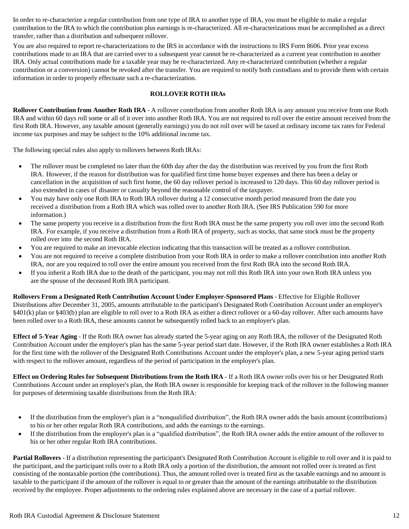In order to re-characterize a regular contribution from one type of IRA to another type of IRA, you must be eligible to make a regular contribution to the IRA to which the contribution plus earnings is re-characterized. All re-characterizations must be accomplished as a direct transfer, rather than a distribution and subsequent rollover.

You are also required to report re-characterizations to the IRS in accordance with the instructions to IRS Form 8606. Prior year excess contributions made to an IRA that are carried over to a subsequent year cannot be re-characterized as a current year contribution to another IRA. Only actual contributions made for a taxable year may be re-characterized. Any re-characterized contribution (whether a regular contribution or a conversion) cannot be revoked after the transfer. You are required to notify both custodians and to provide them with certain information in order to properly effectuate such a re-characterization.

### **ROLLOVER ROTH IRAs**

**Rollover Contribution from Another Roth IRA** - A rollover contribution from another Roth IRA is any amount you receive from one Roth IRA and within 60 days roll some or all of it over into another Roth IRA. You are not required to roll over the entire amount received from the first Roth IRA. However, any taxable amount (generally earnings) you do not roll over will be taxed at ordinary income tax rates for Federal income tax purposes and may be subject to the 10% additional income tax.

The following special rules also apply to rollovers between Roth IRAs:

- The rollover must be completed no later than the 60th day after the day the distribution was received by you from the first Roth IRA. However, if the reason for distribution was for qualified first time home buyer expenses and there has been a delay or cancellation in the acquisition of such first home, the 60 day rollover period is increased to 120 days. This 60 day rollover period is also extended in cases of disaster or casualty beyond the reasonable control of the taxpayer.
- You may have only one Roth IRA to Roth IRA rollover during a 12 consecutive month period measured from the date you received a distribution from a Roth IRA which was rolled over to another Roth IRA. (See IRS Publication 590 for more information.)
- The same property you receive in a distribution from the first Roth IRA must be the same property you roll over into the second Roth IRA. For example, if you receive a distribution from a Roth IRA of property, such as stocks, that same stock must be the property rolled over into the second Roth IRA.
- You are required to make an irrevocable election indicating that this transaction will be treated as a rollover contribution.
- You are not required to receive a complete distribution from your Roth IRA in order to make a rollover contribution into another Roth IRA, nor are you required to roll over the entire amount you received from the first Roth IRA into the second Roth IRA.
- If you inherit a Roth IRA due to the death of the participant, you may not roll this Roth IRA into your own Roth IRA unless you are the spouse of the deceased Roth IRA participant.

**Rollovers From a Designated Roth Contribution Account Under Employer-Sponsored Plans** - Effective for Eligible Rollover Distributions after December 31, 2005, amounts attributable to the participant's Designated Roth Contribution Account under an employer's §401(k) plan or §403(b) plan are eligible to roll over to a Roth IRA as either a direct rollover or a 60-day rollover. After such amounts have been rolled over to a Roth IRA, these amounts cannot be subsequently rolled back to an employer's plan.

**Effect of 5-Year Aging** - If the Roth IRA owner has already started the 5-year aging on any Roth IRA, the rollover of the Designated Roth Contribution Account under the employer's plan has the same 5-year period start date. However, if the Roth IRA owner establishes a Roth IRA for the first time with the rollover of the Designated Roth Contributions Account under the employer's plan, a new 5-year aging period starts with respect to the rollover amount, regardless of the period of participation in the employer's plan.

**Effect on Ordering Rules for Subsequent Distributions from the Roth IRA** - If a Roth IRA owner rolls over his or her Designated Roth Contributions Account under an employer's plan, the Roth IRA owner is responsible for keeping track of the rollover in the following manner for purposes of determining taxable distributions from the Roth IRA:

- If the distribution from the employer's plan is a "nonqualified distribution", the Roth IRA owner adds the basis amount (contributions) to his or her other regular Roth IRA contributions, and adds the earnings to the earnings.
- If the distribution from the employer's plan is a "qualified distribution", the Roth IRA owner adds the entire amount of the rollover to his or her other regular Roth IRA contributions.

**Partial Rollovers** - If a distribution representing the participant's Designated Roth Contribution Account is eligible to roll over and it is paid to the participant, and the participant rolls over to a Roth IRA only a portion of the distribution, the amount not rolled over is treated as first consisting of the nontaxable portion (the contributions). Thus, the amount rolled over is treated first as the taxable earnings and no amount is taxable to the participant if the amount of the rollover is equal to or greater than the amount of the earnings attributable to the distribution received by the employee. Proper adjustments to the ordering rules explained above are necessary in the case of a partial rollover.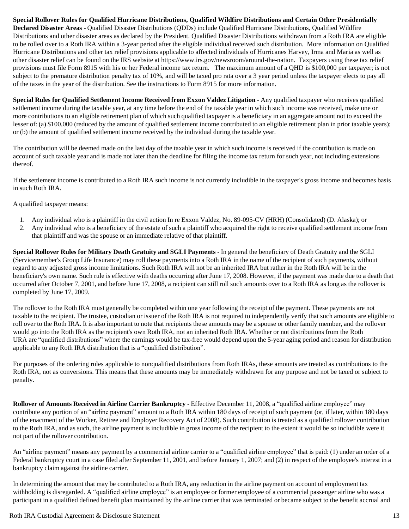**Special Rollover Rules for Qualified Hurricane Distributions, Qualified Wildfire Distributions and Certain Other Presidentially Declared Disaster Areas** - Qualified Disaster Distributions (QDDs) include Qualified Hurricane Distributions, Qualified Wildfire Distributions and other disaster areas as declared by the President. Qualified Disaster Distributions withdrawn from a Roth IRA are eligible to be rolled over to a Roth IRA within a 3-year period after the eligible individual received such distribution. More information on Qualified Hurricane Distributions and other tax relief provisions applicable to affected individuals of Hurricanes Harvey, Irma and Maria as well as other disaster relief can be found on the IRS website at https://www.irs.gov/newsroom/around-the-nation. Taxpayers using these tax relief provisions must file Form 8915 with his or her Federal income tax return. The maximum amount of a QHD is \$100,000 per taxpayer; is not subject to the premature distribution penalty tax of 10%, and will be taxed pro rata over a 3 year period unless the taxpayer elects to pay all of the taxes in the year of the distribution. See the instructions to Form 8915 for more information.

**Special Rules for Qualified Settlement Income Received from Exxon Valdez Litigation - Any qualified taxpayer who receives qualified** settlement income during the taxable year, at any time before the end of the taxable year in which such income was received, make one or more contributions to an eligible retirement plan of which such qualified taxpayer is a beneficiary in an aggregate amount not to exceed the lesser of: (a) \$100,000 (reduced by the amount of qualified settlement income contributed to an eligible retirement plan in prior taxable years); or (b) the amount of qualified settlement income received by the individual during the taxable year.

The contribution will be deemed made on the last day of the taxable year in which such income is received if the contribution is made on account of such taxable year and is made not later than the deadline for filing the income tax return for such year, not including extensions thereof.

If the settlement income is contributed to a Roth IRA such income is not currently includible in the taxpayer's gross income and becomes basis in such Roth IRA.

A qualified taxpayer means:

- 1. Any individual who is a plaintiff in the civil action In re Exxon Valdez, No. 89-095-CV (HRH) (Consolidated) (D. Alaska); or
- 2. Any individual who is a beneficiary of the estate of such a plaintiff who acquired the right to receive qualified settlement income from that plaintiff and was the spouse or an immediate relative of that plaintiff.

**Special Rollover Rules for Military Death Gratuity and SGLI Payments** - In general the beneficiary of Death Gratuity and the SGLI (Servicemember's Group Life Insurance) may roll these payments into a Roth IRA in the name of the recipient of such payments, without regard to any adjusted gross income limitations. Such Roth IRA will not be an inherited IRA but rather in the Roth IRA will be in the beneficiary's own name. Such rule is effective with deaths occurring after June 17, 2008. However, if the payment was made due to a death that occurred after October 7, 2001, and before June 17, 2008, a recipient can still roll such amounts over to a Roth IRA as long as the rollover is completed by June 17, 2009.

The rollover to the Roth IRA must generally be completed within one year following the receipt of the payment. These payments are not taxable to the recipient. The trustee, custodian or issuer of the Roth IRA is not required to independently verify that such amounts are eligible to roll over to the Roth IRA. It is also important to note that recipients these amounts may be a spouse or other family member, and the rollover would go into the Roth IRA as the recipient's own Roth IRA, not an inherited Roth IRA. Whether or not distributions from the Roth URA are "qualified distributions" where the earnings would be tax-free would depend upon the 5-year aging period and reason for distribution applicable to any Roth IRA distribution that is a "qualified distribution".

For purposes of the ordering rules applicable to nonqualified distributions from Roth IRAs, these amounts are treated as contributions to the Roth IRA, not as conversions. This means that these amounts may be immediately withdrawn for any purpose and not be taxed or subject to penalty.

**Rollover of Amounts Received in Airline Carrier Bankruptcy** - Effective December 11, 2008, a "qualified airline employee" may contribute any portion of an "airline payment" amount to a Roth IRA within 180 days of receipt of such payment (or, if later, within 180 days of the enactment of the Worker, Retiree and Employer Recovery Act of 2008). Such contribution is treated as a qualified rollover contribution to the Roth IRA, and as such, the airline payment is includible in gross income of the recipient to the extent it would be so includible were it not part of the rollover contribution.

An "airline payment" means any payment by a commercial airline carrier to a "qualified airline employee" that is paid: (1) under an order of a Federal bankruptcy court in a case filed after September 11, 2001, and before January 1, 2007; and (2) in respect of the employee's interest in a bankruptcy claim against the airline carrier.

In determining the amount that may be contributed to a Roth IRA, any reduction in the airline payment on account of employment tax withholding is disregarded. A "qualified airline employee" is an employee or former employee of a commercial passenger airline who was a participant in a qualified defined benefit plan maintained by the airline carrier that was terminated or became subject to the benefit accrual and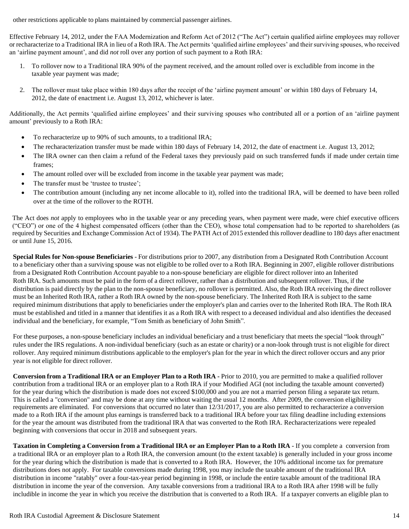other restrictions applicable to plans maintained by commercial passenger airlines.

Effective February 14, 2012, under the FAA Modernization and Reform Act of 2012 ("The Act") certain qualified airline employees may rollover or recharacterize to a Traditional IRA in lieu of a Roth IRA. The Act permits 'qualified airline employees' and their surviving spouses, who received an 'airline payment amount', and did *not* roll over any portion of such payment to a Roth IRA:

- 1. To rollover now to a Traditional IRA 90% of the payment received, and the amount rolled over is excludible from income in the taxable year payment was made;
- 2. The rollover must take place within 180 days after the receipt of the 'airline payment amount' or within 180 days of February 14, 2012, the date of enactment i.e. August 13, 2012, whichever is later.

Additionally, the Act permits 'qualified airline employees' and their surviving spouses who contributed all or a portion of an 'airline payment amount' previously to a Roth IRA:

- To recharacterize up to 90% of such amounts, to a traditional IRA;
- The recharacterization transfer must be made within 180 days of February 14, 2012, the date of enactment i.e. August 13, 2012;
- The IRA owner can then claim a refund of the Federal taxes they previously paid on such transferred funds if made under certain time frames;
- The amount rolled over will be excluded from income in the taxable year payment was made;
- The transfer must be 'trustee to trustee';
- The contribution amount (including any net income allocable to it), rolled into the traditional IRA, will be deemed to have been rolled over at the time of the rollover to the ROTH.

The Act does *not* apply to employees who in the taxable year or any preceding years, when payment were made, were chief executive officers ("CEO") or one of the 4 highest compensated officers (other than the CEO), whose total compensation had to be reported to shareholders (as required by Securities and Exchange Commission Act of 1934). The PATH Act of 2015 extended this rollover deadline to 180 days after enactment or until June 15, 2016.

**Special Rules for Non-spouse Beneficiaries** - For distributions prior to 2007, any distribution from a Designated Roth Contribution Account to a beneficiary other than a surviving spouse was not eligible to be rolled over to a Roth IRA. Beginning in 2007, eligible rollover distributions from a Designated Roth Contribution Account payable to a non-spouse beneficiary are eligible for direct rollover into an Inherited Roth IRA. Such amounts must be paid in the form of a direct rollover, rather than a distribution and subsequent rollover. Thus, if the distribution is paid directly by the plan to the non-spouse beneficiary, no rollover is permitted. Also, the Roth IRA receiving the direct rollover must be an Inherited Roth IRA, rather a Roth IRA owned by the non-spouse beneficiary. The Inherited Roth IRA is subject to the same required minimum distributions that apply to beneficiaries under the employer's plan and carries over to the Inherited Roth IRA. The Roth IRA must be established and titled in a manner that identifies it as a Roth IRA with respect to a deceased individual and also identifies the deceased individual and the beneficiary, for example, "Tom Smith as beneficiary of John Smith".

For these purposes, a non-spouse beneficiary includes an individual beneficiary and a trust beneficiary that meets the special "look through" rules under the IRS regulations. A non-individual beneficiary (such as an estate or charity) or a non-look through trust is not eligible for direct rollover. Any required minimum distributions applicable to the employer's plan for the year in which the direct rollover occurs and any prior year is not eligible for direct rollover.

**Conversionfrom a Traditional IRA or an Employer Plan to a Roth IRA -** Prior to 2010, you are permitted to make a qualified rollover contribution from a traditional IRA or an employer plan to a Roth IRA if your Modified AGI (not including the taxable amount converted) for the year during which the distribution is made does not exceed \$100,000 and you are not a married person filing a separate tax return. This is called a "conversion" and may be done at any time without waiting the usual 12 months. After 2009, the conversion eligibility requirements are eliminated. For conversions that occurred no later than 12/31/2017, you are also permitted to recharacterize a conversion made to a Roth IRA if the amount plus earnings is transferred back to a traditional IRA before your tax filing deadline including extensions for the year the amount was distributed from the traditional IRA that was converted to the Roth IRA. Recharacterizations were repealed beginning with conversions that occur in 2018 and subsequent years.

Taxation in Completing a Conversion from a Traditional IRA or an Employer Plan to a Roth IRA - If you complete a conversion from a traditional IRA or an employer plan to a Roth IRA, the conversion amount (to the extent taxable) is generally included in your gross income for the year during which the distribution is made that is converted to a Roth IRA. However, the 10% additional income tax for premature distributions does not apply. For taxable conversions made during 1998, you may include the taxable amount of the traditional IRA distribution in income "ratably" over a four-tax-year period beginning in 1998, or include the entire taxable amount of the traditional IRA distribution in income the year of the conversion. Any taxable conversions from a traditional IRA to a Roth IRA after 1998 will be fully includible in income the year in which you receive the distribution that is converted to a Roth IRA. If a taxpayer converts an eligible plan to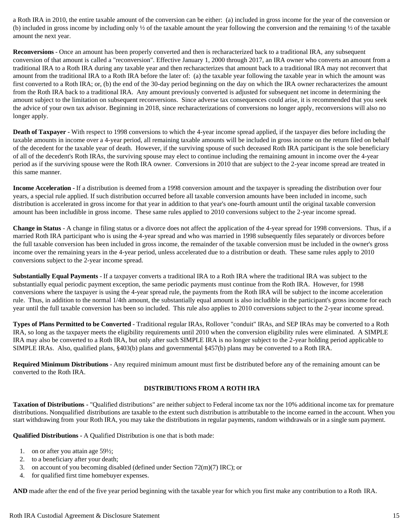a Roth IRA in 2010, the entire taxable amount of the conversion can be either: (a) included in gross income for the year of the conversion or (b) included in gross income by including only  $\frac{1}{2}$  of the taxable amount the year following the conversion and the remaining  $\frac{1}{2}$  of the taxable amount the next year.

**Reconversions** - Once an amount has been properly converted and then is recharacterized back to a traditional IRA, any subsequent conversion of that amount is called a "reconversion". Effective January 1, 2000 through 2017, an IRA owner who converts an amount from a traditional IRA to a Roth IRA during any taxable year and then recharacterizes that amount back to a traditional IRA may not reconvert that amount from the traditional IRA to a Roth IRA before the later of: (a) the taxable year following the taxable year in which the amount was first converted to a Roth IRA; or, (b) the end of the 30-day period beginning on the day on which the IRA owner recharacterizes the amount from the Roth IRA back to a traditional IRA. Any amount previously converted is adjusted for subsequent net income in determining the amount subject to the limitation on subsequent reconversions. Since adverse tax consequences could arise, it is recommended that you seek the advice of your own tax advisor. Beginning in 2018, since recharacterizations of conversions no longer apply, reconversions will also no longer apply.

**Death of Taxpayer -** With respect to 1998 conversions to which the 4-year income spread applied, if the taxpayer dies before including the taxable amounts in income over a 4-year period, all remaining taxable amounts will be included in gross income on the return filed on behalf of the decedent for the taxable year of death. However, if the surviving spouse of such deceased Roth IRA participant is the sole beneficiary of all of the decedent's Roth IRAs, the surviving spouse may elect to continue including the remaining amount in income over the 4-year period as if the surviving spouse were the Roth IRA owner. Conversions in 2010 that are subject to the 2-year income spread are treated in this same manner.

**Income Acceleration -** If a distribution is deemed from a 1998 conversion amount and the taxpayer is spreading the distribution over four years, a special rule applied. If such distribution occurred before all taxable conversion amounts have been included in income, such distribution is accelerated in gross income for that year in addition to that year's one-fourth amount until the original taxable conversion amount has been includible in gross income. These same rules applied to 2010 conversions subject to the 2-year income spread.

**Change in Status** - A change in filing status or a divorce does not affect the application of the 4-year spread for 1998 conversions. Thus, if a married Roth IRA participant who is using the 4-year spread and who was married in 1998 subsequently files separately or divorces before the full taxable conversion has been included in gross income, the remainder of the taxable conversion must be included in the owner's gross income over the remaining years in the 4-year period, unless accelerated due to a distribution or death. These same rules apply to 2010 conversions subject to the 2-year income spread.

**Substantially Equal Payments** - If a taxpayer converts a traditional IRA to a Roth IRA where the traditional IRA was subject to the substantially equal periodic payment exception, the same periodic payments must continue from the Roth IRA. However, for 1998 conversions where the taxpayer is using the 4-year spread rule, the payments from the Roth IRA will be subject to the income acceleration rule. Thus, in addition to the normal 1/4th amount, the substantially equal amount is also includible in the participant's gross income for each year until the full taxable conversion has been so included. This rule also applies to 2010 conversions subject to the 2-year income spread.

**Types of Plans Permitted to be Converted** - Traditional regular IRAs, Rollover "conduit" IRAs, and SEP IRAs may be converted to a Roth IRA, so long as the taxpayer meets the eligibility requirements until 2010 when the conversion eligibility rules were eliminated. A SIMPLE IRA may also be converted to a Roth IRA, but only after such SIMPLE IRA is no longer subject to the 2-year holding period applicable to SIMPLE IRAs. Also, qualified plans, §403(b) plans and governmental §457(b) plans may be converted to a Roth IRA.

**Required Minimum Distributions** - Any required minimum amount must first be distributed before any of the remaining amount can be converted to the Roth IRA.

### **DISTRIBUTIONS FROM A ROTH IRA**

**Taxation of Distributions -** "Qualified distributions" are neither subject to Federal income tax nor the 10% additional income tax for premature distributions. Nonqualified distributions are taxable to the extent such distribution is attributable to the income earned in the account. When you start withdrawing from your Roth IRA, you may take the distributions in regular payments, random withdrawals or in a single sum payment.

**Qualified Distributions -** A Qualified Distribution is one that is both made:

- 1. on or after you attain age 59½;
- 2. to a beneficiary after your death;
- 3. on account of you becoming disabled (defined under Section 72(m)(7) IRC); or
- 4. for qualified first time homebuyer expenses.

**AND** made after the end of the five year period beginning with the taxable year for which you first make any contribution to a Roth IRA.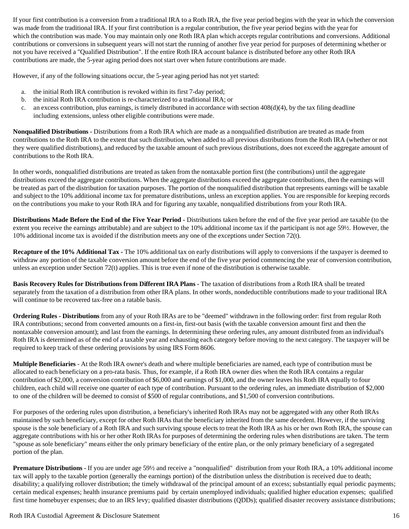If your first contribution is a conversion from a traditional IRA to a Roth IRA, the five year period begins with the year in which the conversion was made from the traditional IRA. If your first contribution is a regular contribution, the five year period begins with the year for which the contribution was made. You may maintain only one Roth IRA plan which accepts regular contributions and conversions. Additional contributions or conversions in subsequent years will not start the running of another five year period for purposes of determining whether or not you have received a "Qualified Distribution". If the entire Roth IRA account balance is distributed before any other Roth IRA contributions are made, the 5-year aging period does not start over when future contributions are made.

However, if any of the following situations occur, the 5-year aging period has not yet started:

- a. the initial Roth IRA contribution is revoked within its first 7-day period;
- b. the initial Roth IRA contribution is re-characterized to a traditional IRA; or
- c. an excess contribution, plus earnings, is timely distributed in accordance with section  $408(d)(4)$ , by the tax filing deadline including extensions, unless other eligible contributions were made.

**Nonqualified Distributions** - Distributions from a Roth IRA which are made as a nonqualified distribution are treated as made from contributions to the Roth IRA to the extent that such distribution, when added to all previous distributions from the Roth IRA (whether or not they were qualified distributions), and reduced by the taxable amount of such previous distributions, does not exceed the aggregate amount of contributions to the Roth IRA.

In other words, nonqualified distributions are treated as taken from the nontaxable portion first (the contributions) until the aggregate distributions exceed the aggregate contributions. When the aggregate distributions exceed the aggregate contributions, then the earnings will be treated as part of the distribution for taxation purposes. The portion of the nonqualified distribution that represents earnings will be taxable and subject to the 10% additional income tax for premature distributions, unless an exception applies. You are responsible for keeping records on the contributions you make to your Roth IRA and for figuring any taxable, nonqualified distributions from your Roth IRA.

**Distributions Made Before the End of the Five Year Period -** Distributions taken before the end of the five year period are taxable (to the extent you receive the earnings attributable) and are subject to the 10% additional income tax if the participant is not age 59½. However, the 10% additional income tax is avoided if the distribution meets any one of the exceptions under Section 72(t).

**Recapture of the 10% Additional Tax -** The 10% additional tax on early distributions will apply to conversions if the taxpayer is deemed to withdraw any portion of the taxable conversion amount before the end of the five year period commencing the year of conversion contribution, unless an exception under Section 72(t) applies. This is true even if none of the distribution is otherwise taxable.

**Basis Recovery Rules for Distributions from Different IRA Plans -** The taxation of distributions from a Roth IRA shall be treated separately from the taxation of a distribution from other IRA plans. In other words, nondeductible contributions made to your traditional IRA will continue to be recovered tax-free on a ratable basis.

**Ordering Rules - Distributions** from any of your Roth IRAs are to be "deemed" withdrawn in the following order: first from regular Roth IRA contributions; second from converted amounts on a first-in, first-out basis (with the taxable conversion amount first and then the nontaxable conversion amount); and last from the earnings. In determining these ordering rules, any amount distributed from an individual's Roth IRA is determined as of the end of a taxable year and exhausting each category before moving to the next category. The taxpayer will be required to keep track of these ordering provisions by using IRS Form 8606.

**Multiple Beneficiaries** - At the Roth IRA owner's death and where multiple beneficiaries are named, each type of contribution must be allocated to each beneficiary on a pro-rata basis. Thus, for example, if a Roth IRA owner dies when the Roth IRA contains a regular contribution of \$2,000, a conversion contribution of \$6,000 and earnings of \$1,000, and the owner leaves his Roth IRA equally to four children, each child will receive one quarter of each type of contribution. Pursuant to the ordering rules, an immediate distribution of \$2,000 to one of the children will be deemed to consist of \$500 of regular contributions, and \$1,500 of conversion contributions.

For purposes of the ordering rules upon distribution, a beneficiary's inherited Roth IRAs may not be aggregated with any other Roth IRAs maintained by such beneficiary, except for other Roth IRAs that the beneficiary inherited from the same decedent. However, if the surviving spouse is the sole beneficiary of a Roth IRA and such surviving spouse elects to treat the Roth IRA as his or her own Roth IRA, the spouse can aggregate contributions with his or her other Roth IRAs for purposes of determining the ordering rules when distributions are taken. The term "spouse as sole beneficiary" means either the only primary beneficiary of the entire plan, or the only primary beneficiary of a segregated portion of the plan.

**Premature Distributions -** If you are under age 59½ and receive a "nonqualified" distribution from your Roth IRA, a 10% additional income tax will apply to the taxable portion (generally the earnings portion) of the distribution unless the distribution is received due to death; disability; a qualifying rollover distribution; the timely withdrawal of the principal amount of an excess; substantially equal periodic payments; certain medical expenses; health insurance premiums paid by certain unemployed individuals; qualified higher education expenses; qualified first time homebuyer expenses; due to an IRS levy; qualified disaster distributions (QDDs); qualified disaster recovery assistance distributions;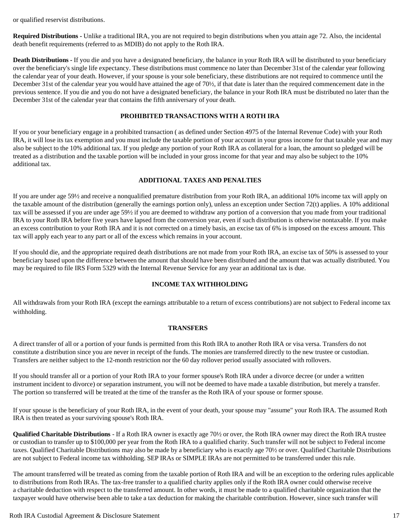or qualified reservist distributions.

**Required Distributions -** Unlike a traditional IRA, you are not required to begin distributions when you attain age 72. Also, the incidental death benefit requirements (referred to as MDIB) do not apply to the Roth IRA.

**Death Distributions -** If you die and you have a designated beneficiary, the balance in your Roth IRA will be distributed to your beneficiary over the beneficiary's single life expectancy. These distributions must commence no later than December 31st of the calendar year following the calendar year of your death. However, if your spouse is your sole beneficiary, these distributions are not required to commence until the December 31st of the calendar year you would have attained the age of 70½, if that date is later than the required commencement date in the previous sentence. If you die and you do not have a designated beneficiary, the balance in your Roth IRA must be distributed no later than the December 31st of the calendar year that contains the fifth anniversary of your death.

### **PROHIBITED TRANSACTIONS WITH A ROTH IRA**

If you or your beneficiary engage in a prohibited transaction ( as defined under Section 4975 of the Internal Revenue Code) with your Roth IRA, it will lose its tax exemption and you must include the taxable portion of your account in your gross income for that taxable year and may also be subject to the 10% additional tax. If you pledge any portion of your Roth IRA as collateral for a loan, the amount so pledged will be treated as a distribution and the taxable portion will be included in your gross income for that year and may also be subject to the 10% additional tax.

### **ADDITIONAL TAXES AND PENALTIES**

If you are under age 59½ and receive a nonqualified premature distribution from your Roth IRA, an additional 10% income tax will apply on the taxable amount of the distribution (generally the earnings portion only), unless an exception under Section 72(t) applies. A 10% additional tax will be assessed if you are under age 59½ if you are deemed to withdraw any portion of a conversion that you made from your traditional IRA to your Roth IRA before five years have lapsed from the conversion year, even if such distribution is otherwise nontaxable. If you make an excess contribution to your Roth IRA and it is not corrected on a timely basis, an excise tax of 6% is imposed on the excess amount. This tax will apply each year to any part or all of the excess which remains in your account.

If you should die, and the appropriate required death distributions are not made from your Roth IRA, an excise tax of 50% is assessed to your beneficiary based upon the difference between the amount that should have been distributed and the amount that was actually distributed. You may be required to file IRS Form 5329 with the Internal Revenue Service for any year an additional tax is due.

### **INCOME TAX WITHHOLDING**

All withdrawals from your Roth IRA (except the earnings attributable to a return of excess contributions) are not subject to Federal income tax withholding.

#### **TRANSFERS**

A direct transfer of all or a portion of your funds is permitted from this Roth IRA to another Roth IRA or visa versa. Transfers do not constitute a distribution since you are never in receipt of the funds. The monies are transferred directly to the new trustee or custodian. Transfers are neither subject to the 12-month restriction nor the 60 day rollover period usually associated with rollovers.

If you should transfer all or a portion of your Roth IRA to your former spouse's Roth IRA under a divorce decree (or under a written instrument incident to divorce) or separation instrument, you will not be deemed to have made a taxable distribution, but merely a transfer. The portion so transferred will be treated at the time of the transfer as the Roth IRA of your spouse or former spouse.

If your spouse is the beneficiary of your Roth IRA, in the event of your death, your spouse may "assume" your Roth IRA. The assumed Roth IRA is then treated as your surviving spouse's Roth IRA.

**Qualified Charitable Distributions** - If a Roth IRA owner is exactly age 70½ or over, the Roth IRA owner may direct the Roth IRA trustee or custodian to transfer up to \$100,000 per year from the Roth IRA to a qualified charity. Such transfer will not be subject to Federal income taxes. Qualified Charitable Distributions may also be made by a beneficiary who is exactly age 70½ or over. Qualified Charitable Distributions are not subject to Federal income tax withholding. SEP IRAs or SIMPLE IRAs are not permitted to be transferred under this rule.

The amount transferred will be treated as coming from the taxable portion of Roth IRA and will be an exception to the ordering rules applicable to distributions from Roth IRAs. The tax-free transfer to a qualified charity applies only if the Roth IRA owner could otherwise receive a charitable deduction with respect to the transferred amount. In other words, it must be made to a qualified charitable organization that the taxpayer would have otherwise been able to take a tax deduction for making the charitable contribution. However, since such transfer will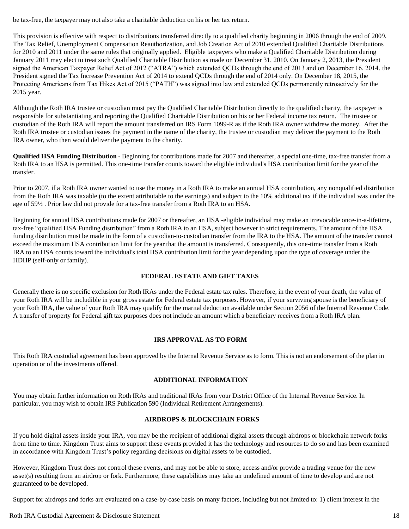be tax-free, the taxpayer may not also take a charitable deduction on his or her tax return.

This provision is effective with respect to distributions transferred directly to a qualified charity beginning in 2006 through the end of 2009. The Tax Relief, Unemployment Compensation Reauthorization, and Job Creation Act of 2010 extended Qualified Charitable Distributions for 2010 and 2011 under the same rules that originally applied. Eligible taxpayers who make a Qualified Charitable Distribution during January 2011 may elect to treat such Qualified Charitable Distribution as made on December 31, 2010. On January 2, 2013, the President signed the American Taxpayer Relief Act of 2012 ("ATRA") which extended QCDs through the end of 2013 and on December 16, 2014, the President signed the Tax Increase Prevention Act of 2014 to extend QCDs through the end of 2014 only. On December 18, 2015, the Protecting Americans from Tax Hikes Act of 2015 ("PATH") was signed into law and extended QCDs permanently retroactively for the 2015 year.

Although the Roth IRA trustee or custodian must pay the Qualified Charitable Distribution directly to the qualified charity, the taxpayer is responsible for substantiating and reporting the Qualified Charitable Distribution on his or her Federal income tax return. The trustee or custodian of the Roth IRA will report the amount transferred on IRS Form 1099-R as if the Roth IRA owner withdrew the money. After the Roth IRA trustee or custodian issues the payment in the name of the charity, the trustee or custodian may deliver the payment to the Roth IRA owner, who then would deliver the payment to the charity.

**Qualified HSA Funding Distribution** - Beginning for contributions made for 2007 and thereafter, a special one-time, tax-free transfer from a Roth IRA to an HSA is permitted. This one-time transfer counts toward the eligible individual's HSA contribution limit for the year of the transfer.

Prior to 2007, if a Roth IRA owner wanted to use the money in a Roth IRA to make an annual HSA contribution, any nonqualified distribution from the Roth IRA was taxable (to the extent attributable to the earnings) and subject to the 10% additional tax if the individual was under the age of 59½ . Prior law did not provide for a tax-free transfer from a Roth IRA to an HSA.

Beginning for annual HSA contributions made for 2007 or thereafter, an HSA -eligible individual may make an irrevocable once-in-a-lifetime, tax-free "qualified HSA Funding distribution" from a Roth IRA to an HSA, subject however to strict requirements. The amount of the HSA funding distribution must be made in the form of a custodian-to-custodian transfer from the IRA to the HSA. The amount of the transfer cannot exceed the maximum HSA contribution limit for the year that the amount is transferred. Consequently, this one-time transfer from a Roth IRA to an HSA counts toward the individual's total HSA contribution limit for the year depending upon the type of coverage under the HDHP (self-only or family).

### **FEDERAL ESTATE AND GIFT TAXES**

Generally there is no specific exclusion for Roth IRAs under the Federal estate tax rules. Therefore, in the event of your death, the value of your Roth IRA will be includible in your gross estate for Federal estate tax purposes. However, if your surviving spouse is the beneficiary of your Roth IRA, the value of your Roth IRA may qualify for the marital deduction available under Section 2056 of the Internal Revenue Code. A transfer of property for Federal gift tax purposes does not include an amount which a beneficiary receives from a Roth IRA plan.

### **IRS APPROVAL AS TO FORM**

This Roth IRA custodial agreement has been approved by the Internal Revenue Service as to form. This is not an endorsement of the plan in operation or of the investments offered.

### **ADDITIONAL INFORMATION**

You may obtain further information on Roth IRAs and traditional IRAs from your District Office of the Internal Revenue Service. In particular, you may wish to obtain IRS Publication 590 (Individual Retirement Arrangements).

### **AIRDROPS & BLOCKCHAIN FORKS**

If you hold digital assets inside your IRA, you may be the recipient of additional digital assets through airdrops or blockchain network forks from time to time. Kingdom Trust aims to support these events provided it has the technology and resources to do so and has been examined in accordance with Kingdom Trust's policy regarding decisions on digital assets to be custodied.

However, Kingdom Trust does not control these events, and may not be able to store, access and/or provide a trading venue for the new asset(s) resulting from an airdrop or fork. Furthermore, these capabilities may take an undefined amount of time to develop and are not guaranteed to be developed.

Support for airdrops and forks are evaluated on a case-by-case basis on many factors, including but not limited to: 1) client interest in the